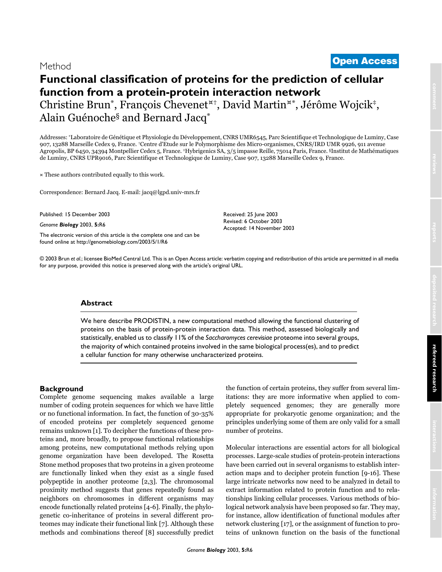# <sup>2003</sup> Brun et al. Volume 5, Issue 1, Article R6 **[Open Access](http://www.biomedcentral.com/info/about/charter/)** Method

# **Functional classification of proteins for the prediction of cellular function from a protein-protein interaction network** Christine Brun\*, François Chevenet¤†, David Martin¤\*, Jérôme Wojcik‡, Alain Guénoche§ and Bernard Jacq\*

Addresses: \*Laboratoire de Génétique et Physiologie du Développement, CNRS UMR6545, Parc Scientifique et Technologique de Luminy, Case 907, 13288 Marseille Cedex 9, France. †Centre d'Etude sur le Polymorphisme des Micro-organismes, CNRS/IRD UMR 9926, 911 avenue Agropolis, BP 6450, 34394 Montpellier Cedex 5, France. ‡Hybrigenics SA, 3/5 impasse Reille, 75014 Paris, France. §Institut de Mathématiques de Luminy, CNRS UPR9016, Parc Scientifique et Technologique de Luminy, Case 907, 13288 Marseille Cedex 9, France.

¤ These authors contributed equally to this work.

Correspondence: Bernard Jacq. E-mail: jacq@lgpd.univ-mrs.fr

Published: 15 December 2003

*Genome Biology* 2003, **5:**R6

[The electronic version of this article is the complete one and can be](http://genomebiology.com/2003/5/1/R6)  found online at http://genomebiology.com/2003/5/1/R6

Received: 25 June 2003 Revised: 6 October 2003 Accepted: 14 November 2003

© 2003 Brun *et al*.; licensee BioMed Central Ltd. This is an Open Access article: verbatim copying and redistribution of this article are permitted in all media for any purpose, provided this notice is preserved along with the article's original URL.

# **Abstract**

We here describe PRODISTIN, a new computational method allowing the functional clustering of proteins on the basis of protein-protein interaction data. This method, assessed biologically and statistically, enabled us to classify 11% of the *Saccharomyces cerevisiae* proteome into several groups, the majority of which contained proteins involved in the same biological process(es), and to predict a cellular function for many otherwise uncharacterized proteins.

# **Background**

Complete genome sequencing makes available a large number of coding protein sequences for which we have little or no functional information. In fact, the function of 30-35% of encoded proteins per completely sequenced genome remains unknown [1]. To decipher the functions of these proteins and, more broadly, to propose functional relationships among proteins, new computational methods relying upon genome organization have been developed. The Rosetta Stone method proposes that two proteins in a given proteome are functionally linked when they exist as a single fused polypeptide in another proteome [2,3]. The chromosomal proximity method suggests that genes repeatedly found as neighbors on chromosomes in different organisms may encode functionally related proteins [4-6]. Finally, the phylogenetic co-inheritance of proteins in several different proteomes may indicate their functional link [7]. Although these methods and combinations thereof [8] successfully predict the function of certain proteins, they suffer from several limitations: they are more informative when applied to completely sequenced genomes; they are generally more appropriate for prokaryotic genome organization; and the principles underlying some of them are only valid for a small number of proteins.

Molecular interactions are essential actors for all biological processes. Large-scale studies of protein-protein interactions have been carried out in several organisms to establish interaction maps and to decipher protein function [\[9](#page-11-0)-[16\]](#page-12-0). These large intricate networks now need to be analyzed in detail to extract information related to protein function and to relationships linking cellular processes. Various methods of biological network analysis have been proposed so far. They may, for instance, allow identification of functional modules after network clustering [17], or the assignment of function to proteins of unknown function on the basis of the functional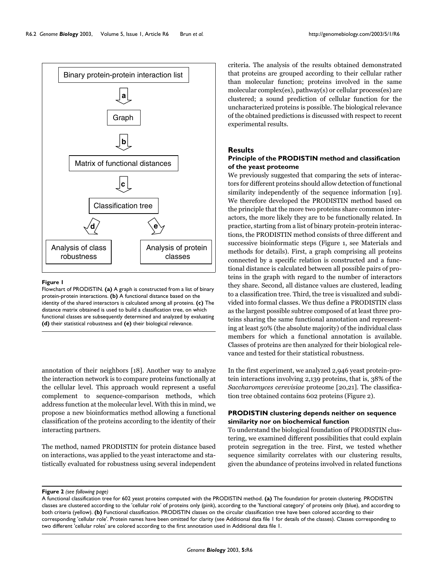

#### **Figure 1**

Flowchart of PRODISTIN. **(a)** A graph is constructed from a list of binary protein-protein interactions. **(b)** A functional distance based on the identity of the shared interactors is calculated among all proteins. **(c)** The distance matrix obtained is used to build a classification tree, on which functional classes are subsequently determined and analyzed by evaluating **(d)** their statistical robustness and **(e)** their biological relevance.

annotation of their neighbors [18]. Another way to analyze the interaction network is to compare proteins functionally at the cellular level. This approach would represent a useful complement to sequence-comparison methods, which address function at the molecular level. With this in mind, we propose a new bioinformatics method allowing a functional classification of the proteins according to the identity of their interacting partners.

The method, named PRODISTIN for protein distance based on interactions, was applied to the yeast interactome and statistically evaluated for robustness using several independent criteria. The analysis of the results obtained demonstrated that proteins are grouped according to their cellular rather than molecular function; proteins involved in the same molecular complex(es), pathway(s) or cellular process(es) are clustered; a sound prediction of cellular function for the uncharacterized proteins is possible. The biological relevance of the obtained predictions is discussed with respect to recent experimental results.

### **Results**

# **Principle of the PRODISTIN method and classification of the yeast proteome**

We previously suggested that comparing the sets of interactors for different proteins should allow detection of functional similarity independently of the sequence information [19]. We therefore developed the PRODISTIN method based on the principle that the more two proteins share common interactors, the more likely they are to be functionally related. In practice, starting from a list of binary protein-protein interactions, the PRODISTIN method consists of three different and successive bioinformatic steps (Figure 1, see Materials and methods for details). First, a graph comprising all proteins connected by a specific relation is constructed and a functional distance is calculated between all possible pairs of proteins in the graph with regard to the number of interactors they share. Second, all distance values are clustered, leading to a classification tree. Third, the tree is visualized and subdivided into formal classes. We thus define a PRODISTIN class as the largest possible subtree composed of at least three proteins sharing the same functional annotation and representing at least 50% (the absolute majority) of the individual class members for which a functional annotation is available. Classes of proteins are then analyzed for their biological relevance and tested for their statistical robustness.

In the first experiment, we analyzed 2,946 yeast protein-protein interactions involving 2,139 proteins, that is, 38% of the *Saccharomyces cerevisiae* proteome [\[20,](#page-12-1)21]. The classification tree obtained contains 602 proteins (Figure 2).

# **PRODISTIN clustering depends neither on sequence similarity nor on biochemical function**

To understand the biological foundation of PRODISTIN clustering, we examined different possibilities that could explain protein segregation in the tree. First, we tested whether sequence similarity correlates with our clustering results, given the abundance of proteins involved in related functions

# Figure 2 (see following page)

A functional classification tree for 602 yeast proteins computed with the PRODISTIN method. **(a)** The foundation for protein clustering. PRODISTIN classes are clustered according to the 'cellular role' of proteins only (pink), according to the 'functional category' of proteins only (blue), and according to both criteria (yellow). **(b)** Functional classification. PRODISTIN classes on the circular classification tree have been colored according to their corresponding 'cellular role'. Protein names have been omitted for clarity (see Additional data file 1 for details of the classes). Classes corresponding to two different 'cellular roles' are colored according to the first annotation used in Additional data file 1.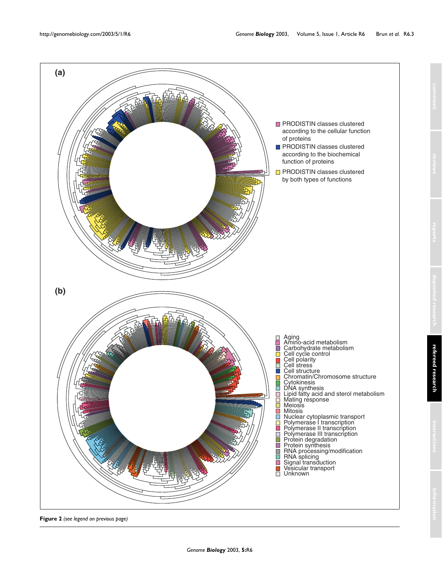

**Figure 2** *(see legend on previous page)*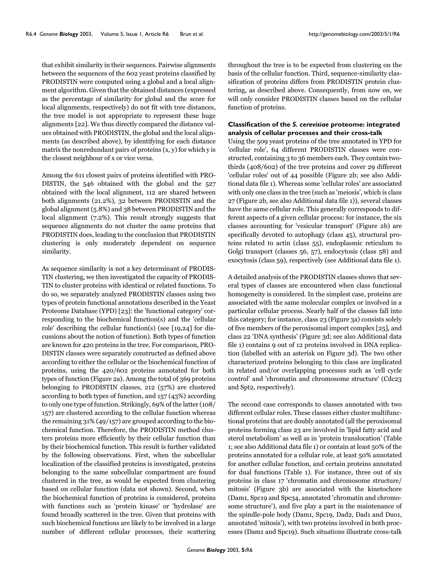that exhibit similarity in their sequences. Pairwise alignments between the sequences of the 602 yeast proteins classified by PRODISTIN were computed using a global and a local alignment algorithm. Given that the obtained distances (expressed as the percentage of similarity for global and the score for local alignments, respectively) do not fit with tree distances, the tree model is not appropriate to represent these huge alignments [22]. We thus directly compared the distance values obtained with PRODISTIN, the global and the local alignments (as described above), by identifying for each distance matrix the nonredundant pairs of proteins (x, y) for which y is the closest neighbour of x or vice versa.

Among the 611 closest pairs of proteins identified with PRO-DISTIN, the 546 obtained with the global and the 527 obtained with the local alignment, 112 are shared between both alignments (21.2%), 32 between PRODISTIN and the global alignment (5.8%) and 38 between PRODISTIN and the local alignment (7.2%). This result strongly suggests that sequence alignments do not cluster the same proteins that PRODISTIN does, leading to the conclusion that PRODISTIN clustering is only moderately dependent on sequence similarity.

As sequence similarity is not a key determinant of PRODIS-TIN clustering, we then investigated the capacity of PRODIS-TIN to cluster proteins with identical or related functions. To do so, we separately analyzed PRODISTIN classes using two types of protein functional annotations described in the Yeast Proteome Database (YPD) [23]: the 'functional category' corresponding to the biochemical function(s) and the 'cellular role' describing the cellular function(s) (see [19,24] for discussions about the notion of function). Both types of function are known for 420 proteins in the tree. For comparison, PRO-DISTIN classes were separately constructed as defined above according to either the cellular or the biochemical function of proteins, using the 420/602 proteins annotated for both types of function (Figure 2a). Among the total of 369 proteins belonging to PRODISTIN classes, 212 (57%) are clustered according to both types of function, and 157 (43%) according to only one type of function. Strikingly, 69% of the latter (108/ 157) are clustered according to the cellular function whereas the remaining 31% (49/157) are grouped according to the biochemical function. Therefore, the PRODISTIN method clusters proteins more efficiently by their cellular function than by their biochemical function. This result is further validated by the following observations. First, when the subcellular localization of the classified proteins is investigated, proteins belonging to the same subcellular compartment are found clustered in the tree, as would be expected from clustering based on cellular function (data not shown). Second, when the biochemical function of proteins is considered, proteins with functions such as 'protein kinase' or 'hydrolase' are found broadly scattered in the tree. Given that proteins with such biochemical functions are likely to be involved in a large number of different cellular processes, their scattering

throughout the tree is to be expected from clustering on the basis of the cellular function. Third, sequence-similarity classification of proteins differs from PRODISTIN protein clustering, as described above. Consequently, from now on, we will only consider PRODISTIN classes based on the cellular function of proteins.

# **Classification of the** *S. cerevisiae* **proteome: integrated analysis of cellular processes and their cross-talk**

Using the 509 yeast proteins of the tree annotated in YPD for 'cellular role', 64 different PRODISTIN classes were constructed, containing 3 to 36 members each. They contain twothirds (408/602) of the tree proteins and cover 29 different 'cellular roles' out of 44 possible (Figure 2b; see also Additional data file 1). Whereas some 'cellular roles' are associated with only one class in the tree (such as 'meiosis', which is class 27 (Figure 2b, see also Additional data file 1)), several classes have the same cellular role. This generally corresponds to different aspects of a given cellular process: for instance, the six classes accounting for 'vesicular transport' (Figure 2b) are specifically devoted to autophagy (class 45), structural proteins related to actin (class 55), endoplasmic reticulum to Golgi transport (classes 56, 57), endocytosis (class 58) and exocytosis (class 59), respectively (see Additional data file 1).

A detailed analysis of the PRODISTIN classes shows that several types of classes are encountered when class functional homogeneity is considered. In the simplest case, proteins are associated with the same molecular complex or involved in a particular cellular process. Nearly half of the classes fall into this category; for instance, class 23 (Figure [3a](#page-4-0)) consists solely of five members of the peroxisomal import complex [\[25](#page-12-2)], and class 22 'DNA synthesis' (Figure [3](#page-4-0)d; see also Additional data file 1) contains 9 out of 12 proteins involved in DNA replication (labelled with an asterisk on Figure [3](#page-4-0)d). The two other characterized proteins belonging to this class are implicated in related and/or overlapping processes such as 'cell cycle control' and 'chromatin and chromosome structure' (Cdc23 and Spt2, respectively).

The second case corresponds to classes annotated with two different cellular roles. These classes either cluster multifunctional proteins that are doubly annotated (all the peroxisomal proteins forming class 23 are involved in 'lipid fatty acid and sterol metabolism' as well as in 'protein translocation' (Table [1;](#page-5-0) see also Additional data file 1) or contain at least 50% of the proteins annotated for a cellular role, at least 50% annotated for another cellular function, and certain proteins annotated for dual functions (Table [1](#page-5-0)). For instance, three out of six proteins in class 17 'chromatin and chromosome structure/ mitosis' (Figure [3](#page-4-0)b) are associated with the kinetochore (Dam1, Spc19 and Spc34, annotated 'chromatin and chromosome structure'), and five play a part in the maintenance of the spindle-pole body (Dam1, Spc19, Dad2, Dad1 and Duo1, annotated 'mitosis'), with two proteins involved in both processes (Dam1 and Spc19). Such situations illustrate cross-talk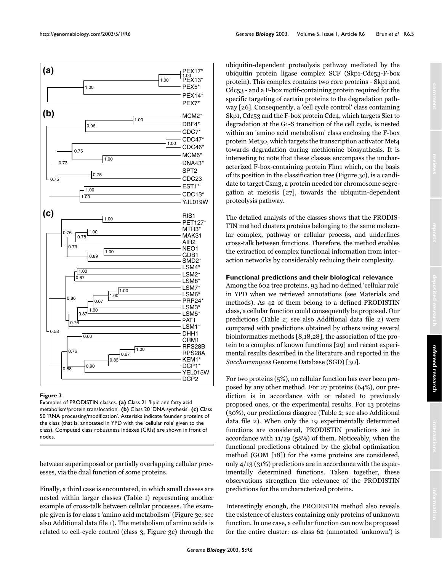<span id="page-4-0"></span>

#### **Figure 3**

Examples of PRODISTIN classes. **(a)** Class 21 'lipid and fatty acid metabolism/protein translocation'. **(b)** Class 20 'DNA synthesis'. **(c)** Class 50 'RNA processing/modification'. Asterisks indicate founder proteins of the class (that is, annotated in YPD with the 'cellular role' given to the class). Computed class robustness indexes (CRIs) are shown in front of nodes.

between superimposed or partially overlapping cellular processes, via the dual function of some proteins.

Finally, a third case is encountered, in which small classes are nested within larger classes (Table [1](#page-5-0)) representing another example of cross-talk between cellular processes. The example given is for class 1 'amino acid metabolism' (Figure [3c](#page-4-0); see also Additional data file 1). The metabolism of amino acids is related to cell-cycle control (class 3, Figure [3c](#page-4-0)) through the

ubiquitin-dependent proteolysis pathway mediated by the ubiquitin protein ligase complex SCF (Skp1-Cdc53-F-box protein). This complex contains two core proteins - Skp1 and Cdc53 - and a F-box motif-containing protein required for the specific targeting of certain proteins to the degradation pathway [26]. Consequently, a 'cell cycle control' class containing Skp1, Cdc53 and the F-box protein Cdc4, which targets Sic1 to degradation at the G1-S transition of the cell cycle, is nested within an 'amino acid metabolism' class enclosing the F-box protein Met30, which targets the transcription activator Met4 towards degradation during methionine biosynthesis. It is interesting to note that these classes encompass the uncharacterized F-box-containing protein Flm1 which, on the basis of its position in the classification tree (Figure [3c](#page-4-0)), is a candidate to target Csm3, a protein needed for chromosome segregation at meiosis [27], towards the ubiquitin-dependent proteolysis pathway.

The detailed analysis of the classes shows that the PRODIS-TIN method clusters proteins belonging to the same molecular complex, pathway or cellular process, and underlines cross-talk between functions. Therefore, the method enables the extraction of complex functional information from interaction networks by considerably reducing their complexity.

# **Functional predictions and their biological relevance**

Among the 602 tree proteins, 93 had no defined 'cellular role' in YPD when we retrieved annotations (see Materials and methods). As 42 of them belong to a defined PRODISTIN class, a cellular function could consequently be proposed. Our predictions (Table [2](#page-6-0); see also Additional data file 2) were compared with predictions obtained by others using several bioinformatics methods [8,18,28], the association of the protein to a complex of known functions [29] and recent experimental results described in the literature and reported in the *Saccharomyces* Genome Database (SGD) [30].

For two proteins (5%), no cellular function has ever been proposed by any other method. For 27 proteins (64%), our prediction is in accordance with or related to previously proposed ones, or the experimental results. For 13 proteins (30%), our predictions disagree (Table [2;](#page-6-0) see also Additional data file 2). When only the 19 experimentally determined functions are considered, PRODISTIN predictions are in accordance with 11/19 (58%) of them. Noticeably, when the functional predictions obtained by the global optimization method (GOM [18]) for the same proteins are considered, only 4/13 (31%) predictions are in accordance with the experimentally determined functions. Taken together, these observations strengthen the relevance of the PRODISTIN predictions for the uncharacterized proteins.

Interestingly enough, the PRODISTIN method also reveals the existence of clusters containing only proteins of unknown function. In one case, a cellular function can now be proposed for the entire cluster: as class 62 (annotated 'unknown') is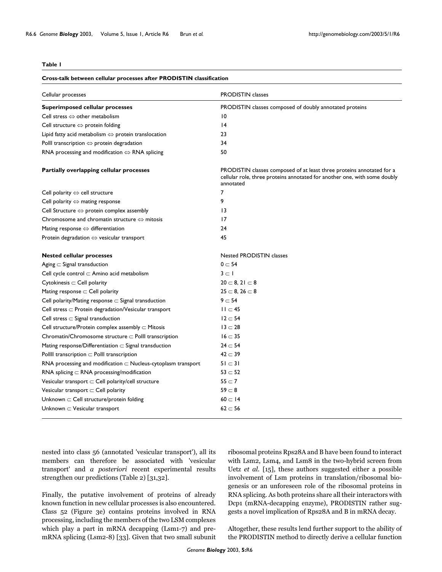#### <span id="page-5-0"></span>**Table 1**

| <b>Cross-talk between cellular processes after PRODISTIN classification</b> |                                                                                                                                                                 |  |  |  |  |
|-----------------------------------------------------------------------------|-----------------------------------------------------------------------------------------------------------------------------------------------------------------|--|--|--|--|
| Cellular processes                                                          | <b>PRODISTIN</b> classes                                                                                                                                        |  |  |  |  |
| <b>Superimposed cellular processes</b>                                      | PRODISTIN classes composed of doubly annotated proteins                                                                                                         |  |  |  |  |
| Cell stress $\Leftrightarrow$ other metabolism                              | 10                                                                                                                                                              |  |  |  |  |
| Cell structure $\Leftrightarrow$ protein folding                            | $\overline{14}$                                                                                                                                                 |  |  |  |  |
| Lipid fatty acid metabolism $\Leftrightarrow$ protein translocation         | 23                                                                                                                                                              |  |  |  |  |
| Polll transcription $\Leftrightarrow$ protein degradation                   | 34                                                                                                                                                              |  |  |  |  |
| RNA processing and modification $\Leftrightarrow$ RNA splicing              | 50                                                                                                                                                              |  |  |  |  |
| Partially overlapping cellular processes                                    | PRODISTIN classes composed of at least three proteins annotated for a<br>cellular role, three proteins annotated for another one, with some doubly<br>annotated |  |  |  |  |
| Cell polarity $\Leftrightarrow$ cell structure                              | 7                                                                                                                                                               |  |  |  |  |
| Cell polarity $\Leftrightarrow$ mating response                             | 9                                                                                                                                                               |  |  |  |  |
| Cell Structure $\Leftrightarrow$ protein complex assembly                   | $\overline{13}$                                                                                                                                                 |  |  |  |  |
| Chromosome and chromatin structure $\Leftrightarrow$ mitosis                | 17                                                                                                                                                              |  |  |  |  |
| Mating response $\Leftrightarrow$ differentiation                           | 24                                                                                                                                                              |  |  |  |  |
| Protein degradation $\Leftrightarrow$ vesicular transport                   | 45                                                                                                                                                              |  |  |  |  |
| <b>Nested cellular processes</b>                                            | <b>Nested PRODISTIN classes</b>                                                                                                                                 |  |  |  |  |
| Aging $\subset$ Signal transduction                                         | $0 \subset 54$                                                                                                                                                  |  |  |  |  |
| Cell cycle control $\subset$ Amino acid metabolism                          | $3 \subset I$                                                                                                                                                   |  |  |  |  |
| $Cytokinesis \subset Cell$ polarity                                         | $20 \subset 8, 21 \subset 8$                                                                                                                                    |  |  |  |  |
| Mating response $\subset$ Cell polarity                                     | $25 \subset 8, 26 \subset 8$                                                                                                                                    |  |  |  |  |
| Cell polarity/Mating response $\subset$ Signal transduction                 | $9 - 54$                                                                                                                                                        |  |  |  |  |
| Cell stress $\subset$ Protein degradation/Vesicular transport               | $II \subset 45$                                                                                                                                                 |  |  |  |  |
| Cell stress $\subset$ Signal transduction                                   | $12 \subset 54$                                                                                                                                                 |  |  |  |  |
| Cell structure/Protein complex assembly $\subset$ Mitosis                   | $13 \subset 28$                                                                                                                                                 |  |  |  |  |
| Chromatin/Chromosome structure $\subset$ Polll transcription                | $16 \subset 35$                                                                                                                                                 |  |  |  |  |
| Mating response/Differentiation $\subset$ Signal transduction               | $24 \subset 54$                                                                                                                                                 |  |  |  |  |
| Pollll transcription $\subset$ Polll transcription                          | $42 \subset 39$                                                                                                                                                 |  |  |  |  |
| RNA processing and modification $\subset$ Nucleus-cytoplasm transport       | $51 \subset 31$                                                                                                                                                 |  |  |  |  |
| RNA splicing $\subset$ RNA processing/modification                          | $53 \subset 52$                                                                                                                                                 |  |  |  |  |
| Vesicular transport $\subset$ Cell polarity/cell structure                  | $55 \subset 7$                                                                                                                                                  |  |  |  |  |
| Vesicular transport $\subset$ Cell polarity                                 | $59-8$                                                                                                                                                          |  |  |  |  |
| Unknown $\subset$ Cell structure/protein folding                            | $60 \subset 14$                                                                                                                                                 |  |  |  |  |
| Unknown $\subset$ Vesicular transport                                       | $62 \subset 56$                                                                                                                                                 |  |  |  |  |

nested into class 56 (annotated 'vesicular transport'), all its members can therefore be associated with 'vesicular transport' and *a posteriori* recent experimental results strengthen our predictions (Table [2](#page-6-0)) [31,32].

Finally, the putative involvement of proteins of already known function in new cellular processes is also encountered. Class 52 (Figure [3e](#page-4-0)) contains proteins involved in RNA processing, including the members of the two LSM complexes which play a part in mRNA decapping (Lsm1-7) and premRNA splicing (Lsm2-8) [33]. Given that two small subunit ribosomal proteins Rps28A and B have been found to interact with Lsm2, Lsm4, and Lsm8 in the two-hybrid screen from Uetz *et al.* [\[15\]](#page-11-1), these authors suggested either a possible involvement of Lsm proteins in translation/ribosomal biogenesis or an unforeseen role of the ribosomal proteins in RNA splicing. As both proteins share all their interactors with Dcp1 (mRNA-decapping enzyme), PRODISTIN rather suggests a novel implication of Rps28A and B in mRNA decay.

Altogether, these results lend further support to the ability of the PRODISTIN method to directly derive a cellular function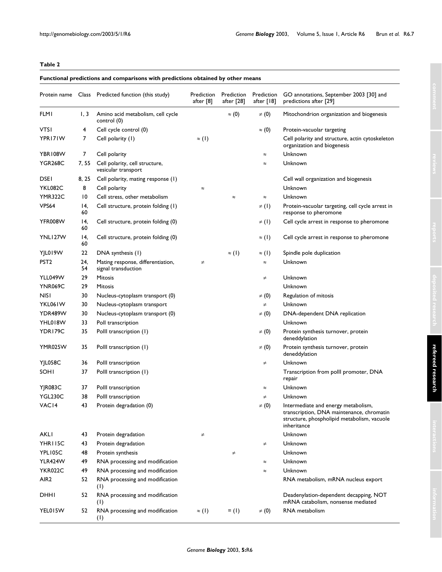# <span id="page-6-0"></span>**Table 2**

# **Functional predictions and comparisons with predictions obtained by other means**

|                  |           | Protein name Class Predicted function (this study)       | Prediction<br>after [8] | Prediction<br>after [28] | Prediction<br>after $[18]$ | GO annotations, September 2003 [30] and<br>predictions after [29]                                                                              |  |
|------------------|-----------|----------------------------------------------------------|-------------------------|--------------------------|----------------------------|------------------------------------------------------------------------------------------------------------------------------------------------|--|
| <b>FLMI</b>      | 1, 3      | Amino acid metabolism, cell cycle<br>control (0)         |                         | $\approx$ (0)            | $\neq$ (0)                 | Mitochondrion organization and biogenesis                                                                                                      |  |
| <b>VTSI</b>      | 4         | Cell cycle control (0)                                   |                         |                          | $\approx$ (0)              | Protein-vacuolar targeting                                                                                                                     |  |
| YPR171W          | 7         | Cell polarity (1)                                        | $\approx$ (1)           |                          |                            | Cell polarity and structure, actin cytoskeleton<br>organization and biogenesis                                                                 |  |
| YBR108W          | 7         | Cell polarity                                            |                         |                          | $\approx$                  | Unknown                                                                                                                                        |  |
| <b>YGR268C</b>   | 7, 55     | Cell polarity, cell structure,<br>vesicular transport    |                         |                          | $\approx$                  | Unknown                                                                                                                                        |  |
| <b>DSEI</b>      | 8, 25     | Cell polarity, mating response (1)                       |                         |                          |                            | Cell wall organization and biogenesis                                                                                                          |  |
| YKL082C          | 8         | Cell polarity                                            | $\approx$               |                          |                            | Unknown                                                                                                                                        |  |
| <b>YMR322C</b>   | 10        | Cell stress, other metabolism                            |                         | $\approx$                | $\approx$                  | Unknown                                                                                                                                        |  |
| VPS64            | 14,<br>60 | Cell structure, protein folding (1)                      |                         |                          | $\neq$ (1)                 | Protein-vacuolar targeting, cell cycle arrest in<br>response to pheromone                                                                      |  |
| YFR008W          | 14,<br>60 | Cell structure, protein folding (0)                      |                         |                          | $\neq$ (1)                 | Cell cycle arrest in response to pheromone                                                                                                     |  |
| YNLI27W          | 14,<br>60 | Cell structure, protein folding (0)                      |                         |                          | $\approx$ (1)              | Cell cycle arrest in response to pheromone                                                                                                     |  |
| YJL019W          | 22        | DNA synthesis (1)                                        |                         | $\approx$ (1)            | $\approx$ (1)              | Spindle pole duplication                                                                                                                       |  |
| PST <sub>2</sub> | 24,<br>54 | Mating response, differentiation,<br>signal transduction | $\neq$                  |                          | $\approx$                  | Unknown                                                                                                                                        |  |
| YLL049W          | 29        | <b>Mitosis</b>                                           |                         |                          | $\neq$                     | Unknown                                                                                                                                        |  |
| YNR069C          | 29        | Mitosis                                                  |                         |                          |                            | Unknown                                                                                                                                        |  |
| <b>NISI</b>      | 30        | Nucleus-cytoplasm transport (0)                          |                         |                          | $\neq$ (0)                 | Regulation of mitosis                                                                                                                          |  |
| YKL061W          | 30        | Nucleus-cytoplasm transport                              |                         |                          | $\neq$                     | Unknown                                                                                                                                        |  |
| YDR489W          | 30        | Nucleus-cytoplasm transport (0)                          |                         |                          | $\neq$ (0)                 | DNA-dependent DNA replication                                                                                                                  |  |
| YHL018W          | 33        | Poll transcription                                       |                         |                          |                            | Unknown                                                                                                                                        |  |
| YDR179C          | 35        | Polll transcription (1)                                  |                         |                          | $\neq$ (0)                 | Protein synthesis turnover, protein<br>deneddylation                                                                                           |  |
| YMR025W          | 35        | Polll transcription (1)                                  |                         |                          | $\neq$ (0)                 | Protein synthesis turnover, protein<br>deneddylation                                                                                           |  |
| YJL058C          | 36        | Polll transcription                                      |                         |                          | $\neq$                     | Unknown                                                                                                                                        |  |
| SOHI             | 37        | Polll transcription (1)                                  |                         |                          |                            | Transcription from polll promoter, DNA<br>repair                                                                                               |  |
| <b>Y R083C</b>   | 37        | Polll transcription                                      |                         |                          | $\approx$                  | Unknown                                                                                                                                        |  |
| YGL230C          | 38        | Polll transcription                                      |                         |                          | $\neq$                     | Unknown                                                                                                                                        |  |
| VAC14            | 43        | Protein degradation (0)                                  |                         |                          | $\neq (0)$                 | Intermediate and energy metabolism,<br>transcription, DNA maintenance, chromatin<br>structure, phospholipid metabolism, vacuole<br>inheritance |  |
| AKLI             | 43        | Protein degradation                                      | $\neq$                  |                          |                            | Unknown                                                                                                                                        |  |
| YHR115C          | 43        | Protein degradation                                      |                         |                          | $\neq$                     | Unknown                                                                                                                                        |  |
| YPL105C          | 48        | Protein synthesis                                        |                         | $\neq$                   |                            | Unknown                                                                                                                                        |  |
| YLR424W          | 49        | RNA processing and modification                          |                         |                          | $\approx$                  | Unknown                                                                                                                                        |  |
| <b>YKR022C</b>   | 49        | RNA processing and modification                          |                         |                          | $\approx$                  | Unknown                                                                                                                                        |  |
| AIR <sub>2</sub> | 52        | RNA processing and modification<br>(1)                   |                         |                          |                            | RNA metabolism, mRNA nucleus export                                                                                                            |  |
| DHHI             | 52        | RNA processing and modification<br>(1)                   |                         |                          |                            | Deadenylation-dependent decapping, NOT<br>mRNA catabolism, nonsense mediated                                                                   |  |
| YEL015W          | 52        | RNA processing and modification<br>(1)                   | $\approx$ (1)           | $= (1)$                  | $\neq$ (0)                 | RNA metabolism                                                                                                                                 |  |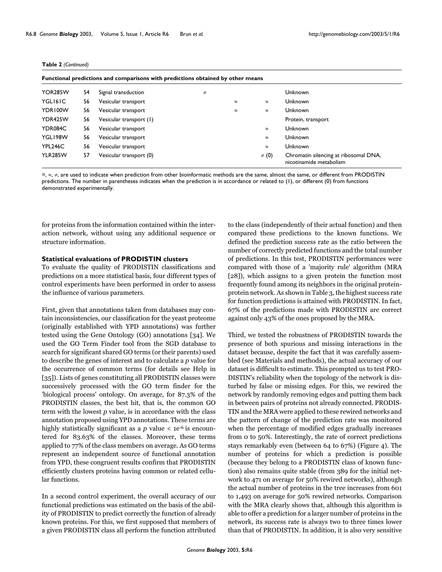| Functional predictions and comparisons with predictions obtained by other means |    |                         |        |           |            |                                                                  |
|---------------------------------------------------------------------------------|----|-------------------------|--------|-----------|------------|------------------------------------------------------------------|
| <b>YOR285W</b>                                                                  | 54 | Signal transduction     | $\neq$ |           |            | Unknown                                                          |
| YGLI6IC                                                                         | 56 | Vesicular transport     |        | $\approx$ | $\approx$  | Unknown                                                          |
| YDR100W                                                                         | 56 | Vesicular transport     |        | $\approx$ | $\approx$  | Unknown                                                          |
| YDR425W                                                                         | 56 | Vesicular transport (1) |        |           |            | Protein, transport                                               |
| YDR084C                                                                         | 56 | Vesicular transport     |        |           | $\approx$  | Unknown                                                          |
| YGL198W                                                                         | 56 | Vesicular transport     |        |           | $\approx$  | <b>Unknown</b>                                                   |
| YPL246C                                                                         | 56 | Vesicular transport     |        |           | $\approx$  | Unknown                                                          |
| <b>YLR285W</b>                                                                  | 57 | Vesicular transport (0) |        |           | $\neq$ (0) | Chromatin silencing at ribosomal DNA,<br>nicotinamide metabolism |

**Table 2** *(Continued)*

=, ≈, ≠, are used to indicate when prediction from other bioinformatic methods are the same, almost the same, or different from PRODISTIN predictions. The number in parentheses indicates when the prediction is in accordance or related to (1), or different (0) from functions demonstrated experimentally.

for proteins from the information contained within the interaction network, without using any additional sequence or structure information.

#### **Statistical evaluations of PRODISTIN clusters**

To evaluate the quality of PRODISTIN classifications and predictions on a more statistical basis, four different types of control experiments have been performed in order to assess the influence of various parameters.

First, given that annotations taken from databases may contain inconsistencies, our classification for the yeast proteome (originally established with YPD annotations) was further tested using the Gene Ontology (GO) annotations [34]. We used the GO Term Finder tool from the SGD database to search for significant shared GO terms (or their parents) used to describe the genes of interest and to calculate a *p* value for the occurrence of common terms (for details see Help in [35]). Lists of genes constituting all PRODISTIN classes were successively processed with the GO term finder for the 'biological process' ontology. On average, for 87.3% of the PRODISTIN classes, the best hit, that is, the common GO term with the lowest *p* value, is in accordance with the class annotation proposed using YPD annotations. These terms are highly statistically significant as a  $p$  value  $\lt$  1e<sup>-6</sup> is encountered for 83.63% of the classes. Moreover, these terms applied to 77% of the class members on average. As GO terms represent an independent source of functional annotation from YPD, these congruent results confirm that PRODISTIN efficiently clusters proteins having common or related cellular functions.

In a second control experiment, the overall accuracy of our functional predictions was estimated on the basis of the ability of PRODISTIN to predict correctly the function of already known proteins. For this, we first supposed that members of a given PRODISTIN class all perform the function attributed

to the class (independently of their actual function) and then compared these predictions to the known functions. We defined the prediction success rate as the ratio between the number of correctly predicted functions and the total number of predictions. In this test, PRODISTIN performances were compared with those of a 'majority rule' algorithm (MRA [28]), which assigns to a given protein the function most frequently found among its neighbors in the original proteinprotein network. As shown in Table 3, the highest success rate for function predictions is attained with PRODISTIN. In fact, 67% of the predictions made with PRODISTIN are correct against only 43% of the ones proposed by the MRA.

Third, we tested the robustness of PRODISTIN towards the presence of both spurious and missing interactions in the dataset because, despite the fact that it was carefully assembled (see Materials and methods), the actual accuracy of our dataset is difficult to estimate. This prompted us to test PRO-DISTIN's reliability when the topology of the network is disturbed by false or missing edges. For this, we rewired the network by randomly removing edges and putting them back in between pairs of proteins not already connected. PRODIS-TIN and the MRA were applied to these rewired networks and the pattern of change of the prediction rate was monitored when the percentage of modified edges gradually increases from 0 to 50%. Interestingly, the rate of correct predictions stays remarkably even (between 64 to 67%) (Figure 4). The number of proteins for which a prediction is possible (because they belong to a PRODISTIN class of known function) also remains quite stable (from 389 for the initial network to 471 on average for 50% rewired networks), although the actual number of proteins in the tree increases from 601 to 1,493 on average for 50% rewired networks. Comparison with the MRA clearly shows that, although this algorithm is able to offer a prediction for a larger number of proteins in the network, its success rate is always two to three times lower than that of PRODISTIN. In addition, it is also very sensitive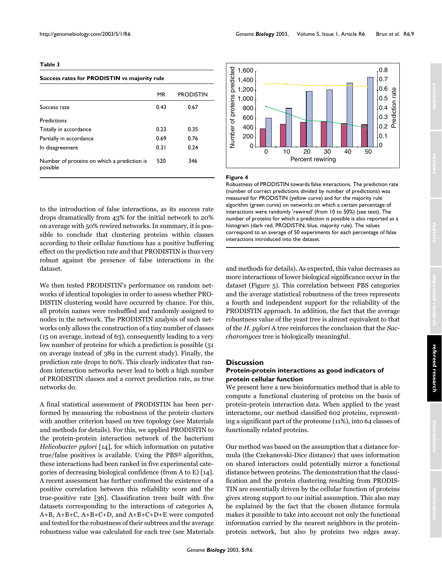# **Table 3**

#### **Success rates for PRODISTIN vs majority rule**

|                                                         | MR   | <b>PRODISTIN</b> |
|---------------------------------------------------------|------|------------------|
| Success rate                                            | 0.43 | 0.67             |
| Predictions                                             |      |                  |
| Totally in accordance                                   | 0.23 | 0.35             |
| Partially in accordance                                 | 0.69 | 0.76             |
| In disagreement                                         | 0.31 | 0.24             |
| Number of proteins on which a prediction is<br>possible | 520  | 346              |

to the introduction of false interactions, as its success rate drops dramatically from 43% for the initial network to 20% on average with 50% rewired networks. In summary, it is possible to conclude that clustering proteins within classes according to their cellular functions has a positive buffering effect on the prediction rate and that PRODISTIN is thus very robust against the presence of false interactions in the dataset.

We then tested PRODISTIN's performance on random networks of identical topologies in order to assess whether PRO-DISTIN clustering would have occurred by chance. For this, all protein names were reshuffled and randomly assigned to nodes in the network. The PRODISTIN analysis of such networks only allows the construction of a tiny number of classes (15 on average, instead of 63), consequently leading to a very low number of proteins for which a prediction is possible (51 on average instead of 389 in the current study). Finally, the prediction rate drops to 60%. This clearly indicates that random interaction networks never lead to both a high number of PRODISTIN classes and a correct prediction rate, as true networks do.

A final statistical assessment of PRODISTIN has been performed by measuring the robustness of the protein clusters with another criterion based on tree topology (see Materials and methods for details). For this, we applied PRODISTIN to the protein-protein interaction network of the bacterium *Helicobacter pylori* [\[14](#page-11-2)], for which information on putative true/false positives is available. Using the PBS® algorithm, these interactions had been ranked in five experimental categories of decreasing biological confidence (from A to E) [\[14](#page-11-2)]. A recent assessment has further confirmed the existence of a positive correlation between this reliability score and the true-positive rate [36]. Classification trees built with five datasets corresponding to the interactions of categories A, A+B, A+B+C, A+B+C+D, and A+B+C+D+E were computed and tested for the robustness of their subtrees and the average robustness value was calculated for each tree (see Materials



#### **Figure 4**

Robustness of PRODISTIN towards false interactions. The prediction rate (number of correct predictions divided by number of predictions) was measured for PRODISTIN (yellow curve) and for the majority rule algorithm (green curve) on networks on which a certain percentage of interactions were randomly 'rewired' (from 10 to 50%) (see text). The number of proteins for which a prediction is possible is also reported as a histogram (dark red, PRODISTIN; blue, majority rule). The values correspond to an average of 50 experiments for each percentage of false interactions introduced into the dataset.

Percent rewiring

and methods for details). As expected, this value decreases as more interactions of lower biological significance occur in the dataset (Figure 5). This correlation between PBS categories and the average statistical robustness of the trees represents a fourth and independent support for the reliability of the PRODISTIN approach. In addition, the fact that the average robustness value of the yeast tree is almost equivalent to that of the *H. pylori* A tree reinforces the conclusion that the *Saccharomyces* tree is biologically meaningful.

#### **Discussion**

# **Protein-protein interactions as good indicators of protein cellular function**

We present here a new bioinformatics method that is able to compute a functional clustering of proteins on the basis of protein-protein interaction data. When applied to the yeast interactome, our method classified 602 proteins, representing a significant part of the proteome (11%), into 64 classes of functionally related proteins.

Our method was based on the assumption that a distance formula (the Czekanovski-Dice distance) that uses information on shared interactors could potentially mirror a functional distance between proteins. The demonstration that the classification and the protein clustering resulting from PRODIS-TIN are essentially driven by the cellular function of proteins gives strong support to our initial assumption. This also may be explained by the fact that the chosen distance formula makes it possible to take into account not only the functional information carried by the nearest neighbors in the proteinprotein network, but also by proteins two edges away.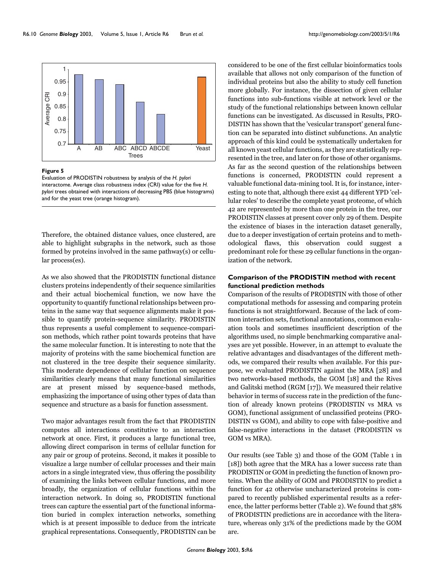

#### Figure 5

Evaluation of PRODISTIN robustness by analysis of the *H. pylori*  interactome. Average class robustness index (CRI) value for the five *H. pylori* trees obtained with interactions of decreasing PBS (blue histograms) and for the yeast tree (orange histogram).

Therefore, the obtained distance values, once clustered, are able to highlight subgraphs in the network, such as those formed by proteins involved in the same pathway(s) or cellular process(es).

As we also showed that the PRODISTIN functional distance clusters proteins independently of their sequence similarities and their actual biochemical function, we now have the opportunity to quantify functional relationships between proteins in the same way that sequence alignments make it possible to quantify protein-sequence similarity. PRODISTIN thus represents a useful complement to sequence-comparison methods, which rather point towards proteins that have the same molecular function. It is interesting to note that the majority of proteins with the same biochemical function are not clustered in the tree despite their sequence similarity. This moderate dependence of cellular function on sequence similarities clearly means that many functional similarities are at present missed by sequence-based methods, emphasizing the importance of using other types of data than sequence and structure as a basis for function assessment.

Two major advantages result from the fact that PRODISTIN computes all interactions constitutive to an interaction network at once. First, it produces a large functional tree, allowing direct comparison in terms of cellular function for any pair or group of proteins. Second, it makes it possible to visualize a large number of cellular processes and their main actors in a single integrated view, thus offering the possibility of examining the links between cellular functions, and more broadly, the organization of cellular functions within the interaction network. In doing so, PRODISTIN functional trees can capture the essential part of the functional information buried in complex interaction networks, something which is at present impossible to deduce from the intricate graphical representations. Consequently, PRODISTIN can be

considered to be one of the first cellular bioinformatics tools available that allows not only comparison of the function of individual proteins but also the ability to study cell function more globally. For instance, the dissection of given cellular functions into sub-functions visible at network level or the study of the functional relationships between known cellular functions can be investigated. As discussed in Results, PRO-DISTIN has shown that the 'vesicular transport' general function can be separated into distinct subfunctions. An analytic approach of this kind could be systematically undertaken for all known yeast cellular functions, as they are statistically represented in the tree, and later on for those of other organisms. As far as the second question of the relationships between functions is concerned, PRODISTIN could represent a valuable functional data-mining tool. It is, for instance, interesting to note that, although there exist 44 different YPD 'cellular roles' to describe the complete yeast proteome, of which 42 are represented by more than one protein in the tree, our PRODISTIN classes at present cover only 29 of them. Despite the existence of biases in the interaction dataset generally, due to a deeper investigation of certain proteins and to methodological flaws, this observation could suggest a predominant role for these 29 cellular functions in the organization of the network.

# **Comparison of the PRODISTIN method with recent functional prediction methods**

Comparison of the results of PRODISTIN with those of other computational methods for assessing and comparing protein functions is not straightforward. Because of the lack of common interaction sets, functional annotations, common evaluation tools and sometimes insufficient description of the algorithms used, no simple benchmarking comparative analyses are yet possible. However, in an attempt to evaluate the relative advantages and disadvantages of the different methods, we compared their results when available. For this purpose, we evaluated PRODISTIN against the MRA [28] and two networks-based methods, the GOM [18] and the Rives and Galitski method (RGM [17]). We measured their relative behavior in terms of success rate in the prediction of the function of already known proteins (PRODISTIN vs MRA vs GOM), functional assignment of unclassified proteins (PRO-DISTIN vs GOM), and ability to cope with false-positive and false-negative interactions in the dataset (PRODISTIN vs GOM vs MRA).

Our results (see Table 3) and those of the GOM (Table [1](#page-5-0) in [18]) both agree that the MRA has a lower success rate than PRODISTIN or GOM in predicting the function of known proteins. When the ability of GOM and PRODISTIN to predict a function for 42 otherwise uncharacterized proteins is compared to recently published experimental results as a reference, the latter performs better (Table [2](#page-6-0)). We found that 58% of PRODISTIN predictions are in accordance with the literature, whereas only 31% of the predictions made by the GOM are.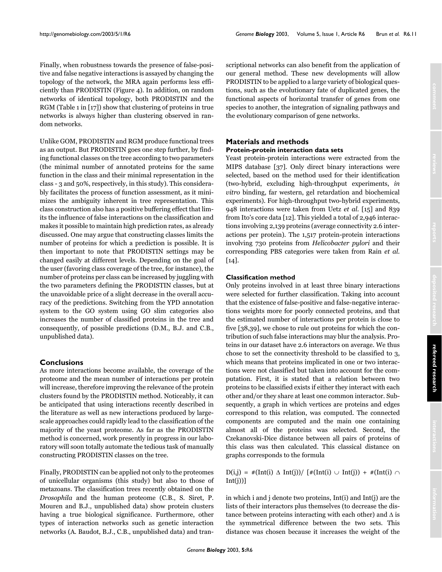Finally, when robustness towards the presence of false-positive and false negative interactions is assayed by changing the topology of the network, the MRA again performs less efficiently than PRODISTIN (Figure 4). In addition, on random networks of identical topology, both PRODISTIN and the RGM (Table [1](#page-5-0) in [17]) show that clustering of proteins in true networks is always higher than clustering observed in random networks.

Unlike GOM, PRODISTIN and RGM produce functional trees as an output. But PRODISTIN goes one step further, by finding functional classes on the tree according to two parameters (the minimal number of annotated proteins for the same function in the class and their minimal representation in the class - 3 and 50%, respectively, in this study). This considerably facilitates the process of function assessment, as it minimizes the ambiguity inherent in tree representation. This class construction also has a positive buffering effect that limits the influence of false interactions on the classification and makes it possible to maintain high prediction rates, as already discussed. One may argue that constructing classes limits the number of proteins for which a prediction is possible. It is then important to note that PRODISTIN settings may be changed easily at different levels. Depending on the goal of the user (favoring class coverage of the tree, for instance), the number of proteins per class can be increased by juggling with the two parameters defining the PRODISTIN classes, but at the unavoidable price of a slight decrease in the overall accuracy of the predictions. Switching from the YPD annotation system to the GO system using GO slim categories also increases the number of classified proteins in the tree and consequently, of possible predictions (D.M., B.J. and C.B., unpublished data).

# **Conclusions**

As more interactions become available, the coverage of the proteome and the mean number of interactions per protein will increase, therefore improving the relevance of the protein clusters found by the PRODISTIN method. Noticeably, it can be anticipated that using interactions recently described in the literature as well as new interactions produced by largescale approaches could rapidly lead to the classification of the majority of the yeast proteome. As far as the PRODISTIN method is concerned, work presently in progress in our laboratory will soon totally automate the tedious task of manually constructing PRODISTIN classes on the tree.

Finally, PRODISTIN can be applied not only to the proteomes of unicellular organisms (this study) but also to those of metazoans. The classification trees recently obtained on the *Drosophila* and the human proteome (C.B., S. Siret, P. Mouren and B.J., unpublished data) show protein clusters having a true biological significance. Furthermore, other types of interaction networks such as genetic interaction networks (A. Baudot, B.J., C.B., unpublished data) and transcriptional networks can also benefit from the application of our general method. These new developments will allow PRODISTIN to be applied to a large variety of biological questions, such as the evolutionary fate of duplicated genes, the functional aspects of horizontal transfer of genes from one species to another, the integration of signaling pathways and the evolutionary comparison of gene networks.

# **Materials and methods Protein-protein interaction data sets**

Yeast protein-protein interactions were extracted from the MIPS database [37]. Only direct binary interactions were selected, based on the method used for their identification (two-hybrid, excluding high-throughput experiments, *in vitro* binding, far western, gel retardation and biochemical experiments). For high-throughput two-hybrid experiments, 948 interactions were taken from Uetz *et al.* [\[15](#page-11-1)] and 839 from Ito's core data [12]. This yielded a total of 2,946 interactions involving 2,139 proteins (average connectivity 2.6 interactions per protein). The 1,517 protein-protein interactions involving 730 proteins from *Helicobacter pylori* and their corresponding PBS categories were taken from Rain *et al.*  $\lceil 14 \rceil$ .

# **Classification method**

Only proteins involved in at least three binary interactions were selected for further classification. Taking into account that the existence of false-positive and false-negative interactions weights more for poorly connected proteins, and that the estimated number of interactions per protein is close to five [38,39], we chose to rule out proteins for which the contribution of such false interactions may blur the analysis. Proteins in our dataset have 2.6 interactors on average. We thus chose to set the connectivity threshold to be classified to 3, which means that proteins implicated in one or two interactions were not classified but taken into account for the computation. First, it is stated that a relation between two proteins to be classified exists if either they interact with each other and/or they share at least one common interactor. Subsequently, a graph in which vertices are proteins and edges correspond to this relation, was computed. The connected components are computed and the main one containing almost all of the proteins was selected. Second, the Czekanovski-Dice distance between all pairs of proteins of this class was then calculated. This classical distance on graphs corresponds to the formula

D(i,j) = #(Int(i) ∆ Int(j))/ [#(Int(i) ∪ Int(j)) + #(Int(i) ∩  $Int(j))]$ 

in which i and j denote two proteins, Int(i) and Int(j) are the lists of their interactors plus themselves (to decrease the distance between proteins interacting with each other) and  $\Delta$  is the symmetrical difference between the two sets. This distance was chosen because it increases the weight of the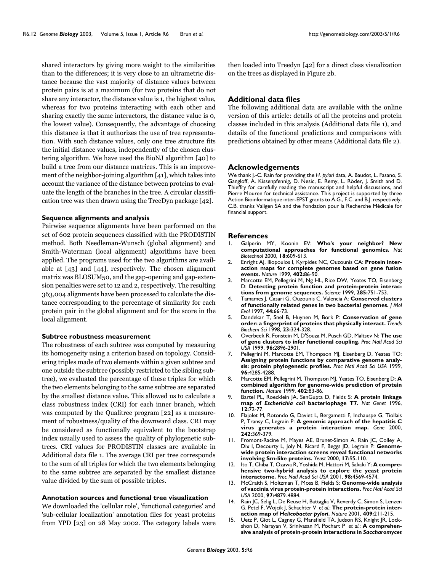shared interactors by giving more weight to the similarities than to the differences; it is very close to an ultrametric distance because the vast majority of distance values between protein pairs is at a maximum (for two proteins that do not share any interactor, the distance value is 1, the highest value, whereas for two proteins interacting with each other and sharing exactly the same interactors, the distance value is 0, the lowest value). Consequently, the advantage of choosing this distance is that it authorizes the use of tree representation. With such distance values, only one tree structure fits the initial distance values, independently of the chosen clustering algorithm. We have used the BioNJ algorithm [40] to build a tree from our distance matrices. This is an improvement of the neighbor-joining algorithm [41], which takes into account the variance of the distance between proteins to evaluate the length of the branches in the tree. A circular classification tree was then drawn using the TreeDyn package [42].

#### **Sequence alignments and analysis**

Pairwise sequence alignments have been performed on the set of 602 protein sequences classified with the PRODISTIN method. Both Needleman-Wunsch (global alignment) and Smith-Waterman (local alignment) algorithms have been applied. The programs used for the two algorithms are available at [43] and [44], respectively. The chosen alignment matrix was BLOSUM50, and the gap-opening and gap-extension penalties were set to 12 and 2, respectively. The resulting 363,004 alignments have been processed to calculate the distance corresponding to the percentage of similarity for each protein pair in the global alignment and for the score in the local alignment.

#### **Subtree robustness measurement**

The robustness of each subtree was computed by measuring its homogeneity using a criterion based on topology. Considering triples made of two elements within a given subtree and one outside the subtree (possibly restricted to the sibling subtree), we evaluated the percentage of these triples for which the two elements belonging to the same subtree are separated by the smallest distance value. This allowed us to calculate a class robustness index (CRI) for each inner branch, which was computed by the Qualitree program [22] as a measurement of robustness/quality of the downward class. CRI may be considered as functionally equivalent to the bootstrap index usually used to assess the quality of phylogenetic subtrees. CRI values for PRODISTIN classes are available in Additional data file 1. The average CRI per tree corresponds to the sum of all triples for which the two elements belonging to the same subtree are separated by the smallest distance value divided by the sum of possible triples.

#### **Annotation sources and functional tree visualization**

We downloaded the 'cellular role', 'functional categories' and 'sub-cellular localization' annotation files for yeast proteins from YPD [23] on 28 May 2002. The category labels were then loaded into Treedyn [42] for a direct class visualization on the trees as displayed in Figure 2b.

# **Additional data files**

The following additional data are available with the online version of this article: details of all the proteins and protein classes included in this analysis (Additional data file 1), and details of the functional predictions and comparisons with predictions obtained by other means (Additional data file 2).

#### **Acknowledgements**

We thank J.-C. Rain for providing the *H. pylori* data, A. Baudot, L. Fasano, S. Gangloff, A. Kissenpfennig, D. Nesic, E. Remy, L. Röder, J. Smith and D. Thieffry for carefully reading the manuscript and helpful discussions, and Pierre Mouren for technical assistance. This project is supported by three Action Bioinformatique inter-EPST grants to A.G., F.C. and B.J. respectively. C.B. thanks Valigen SA and the Fondation pour la Recherche Médicale for financial support.

#### **References**

- 1. Galperin MY, Koonin EV: **[Who's your neighbor? New](http://www.ncbi.nlm.nih.gov/entrez/query.fcgi?cmd=Retrieve&db=PubMed&dopt=Abstract&list_uids=10.1038/76443) [computational approaches for functional genomics.](http://www.ncbi.nlm.nih.gov/entrez/query.fcgi?cmd=Retrieve&db=PubMed&dopt=Abstract&list_uids=10.1038/76443)** *Nat Biotechnol* 2000, **18:**609-613.
- 2. Enright AJ, Iliopoulos I, Kyrpides NC, Ouzounis CA: **[Protein inter](http://www.ncbi.nlm.nih.gov/entrez/query.fcgi?cmd=Retrieve&db=PubMed&dopt=Abstract&list_uids=10573422)[action maps for complete genomes based on gene fusion](http://www.ncbi.nlm.nih.gov/entrez/query.fcgi?cmd=Retrieve&db=PubMed&dopt=Abstract&list_uids=10573422) [events.](http://www.ncbi.nlm.nih.gov/entrez/query.fcgi?cmd=Retrieve&db=PubMed&dopt=Abstract&list_uids=10573422)** *Nature* 1999, **402:**86-90.
- 3. Marcotte EM, Pellegrini M, Ng HL, Rice DW, Yeates TO, Eisenberg D: **[Detecting protein function and protein-protein interac](http://www.ncbi.nlm.nih.gov/entrez/query.fcgi?cmd=Retrieve&db=PubMed&dopt=Abstract&list_uids=10.1126/science.285.5428.751)[tions from genome sequences.](http://www.ncbi.nlm.nih.gov/entrez/query.fcgi?cmd=Retrieve&db=PubMed&dopt=Abstract&list_uids=10.1126/science.285.5428.751)** *Science* 1999, **285:**751-753.
- 4. Tamames J, Casari G, Ouzounis C, Valencia A: **[Conserved clusters](http://www.ncbi.nlm.nih.gov/entrez/query.fcgi?cmd=Retrieve&db=PubMed&dopt=Abstract&list_uids=9010137) [of functionally related genes in two bacterial genomes.](http://www.ncbi.nlm.nih.gov/entrez/query.fcgi?cmd=Retrieve&db=PubMed&dopt=Abstract&list_uids=9010137)** *J Mol Evol* 1997, **44:**66-73.
- 5. Dandekar T, Snel B, Huynen M, Bork P: **[Conservation of gene](http://www.ncbi.nlm.nih.gov/entrez/query.fcgi?cmd=Retrieve&db=PubMed&dopt=Abstract&list_uids=10.1016/S0968-0004(98)01274-2) [order: a fingerprint of proteins that physically interact.](http://www.ncbi.nlm.nih.gov/entrez/query.fcgi?cmd=Retrieve&db=PubMed&dopt=Abstract&list_uids=10.1016/S0968-0004(98)01274-2)** *Trends Biochem Sci* 1998, **23:**324-328.
- 6. Overbeek R, Fonstein M, D'Souza M, Pusch GD, Maltsev N: **[The use](http://www.ncbi.nlm.nih.gov/entrez/query.fcgi?cmd=Retrieve&db=PubMed&dopt=Abstract&list_uids=15866) [of gene clusters to infer functional coupling.](http://www.ncbi.nlm.nih.gov/entrez/query.fcgi?cmd=Retrieve&db=PubMed&dopt=Abstract&list_uids=15866)** *Proc Natl Acad Sci USA* 1999, **96:**2896-2901.
- 7. Pellegrini M, Marcotte EM, Thompson MJ, Eisenberg D, Yeates TO: **[Assigning protein functions by comparative genome analy](http://www.ncbi.nlm.nih.gov/entrez/query.fcgi?cmd=Retrieve&db=PubMed&dopt=Abstract&list_uids=16324)[sis: protein phylogenetic profiles.](http://www.ncbi.nlm.nih.gov/entrez/query.fcgi?cmd=Retrieve&db=PubMed&dopt=Abstract&list_uids=16324)** *Proc Natl Acad Sci USA* 1999, **96:**4285-4288.
- 8. Marcotte EM, Pellegrini M, Thompson MJ, Yeates TO, Eisenberg D: **[A](http://www.ncbi.nlm.nih.gov/entrez/query.fcgi?cmd=Retrieve&db=PubMed&dopt=Abstract&list_uids=10.1038/47048) [combined algorithm for genome-wide prediction of protein](http://www.ncbi.nlm.nih.gov/entrez/query.fcgi?cmd=Retrieve&db=PubMed&dopt=Abstract&list_uids=10.1038/47048) [function.](http://www.ncbi.nlm.nih.gov/entrez/query.fcgi?cmd=Retrieve&db=PubMed&dopt=Abstract&list_uids=10.1038/47048)** *Nature* 1999, **402:**83-86.
- <span id="page-11-0"></span>9. Bartel PL, Roecklein JA, SenGupta D, Fields S: **A protein linkage map of** *Escherichia coli* **[bacteriophage T7.](http://www.ncbi.nlm.nih.gov/entrez/query.fcgi?cmd=Retrieve&db=PubMed&dopt=Abstract&list_uids=8528255)** *Nat Genet* 1996, **12:**72-77.
- 10. Flajolet M, Rotondo G, Daviet L, Bergametti F, Inchauspe G, Tiollais P, Transy C, Legrain P: **[A genomic approach of the hepatitis C](http://www.ncbi.nlm.nih.gov/entrez/query.fcgi?cmd=Retrieve&db=PubMed&dopt=Abstract&list_uids=10.1016/S0378-1119(99)00511-9) [virus generates a protein interaction map.](http://www.ncbi.nlm.nih.gov/entrez/query.fcgi?cmd=Retrieve&db=PubMed&dopt=Abstract&list_uids=10.1016/S0378-1119(99)00511-9)** *Gene* 2000, **242:**369-379.
- 11. Fromont-Racine M, Mayes AE, Brunet-Simon A, Rain JC, Colley A, Dix I, Decourty L, Joly N, Ricard F, Beggs JD, Legrain P: **[Genome](http://www.ncbi.nlm.nih.gov/entrez/query.fcgi?cmd=Retrieve&db=PubMed&dopt=Abstract&list_uids=10.1002/1097-0061(20000630)17:2<95::AID-YEA16>3.0.CO;2-H)[wide protein interaction screens reveal functional networks](http://www.ncbi.nlm.nih.gov/entrez/query.fcgi?cmd=Retrieve&db=PubMed&dopt=Abstract&list_uids=10.1002/1097-0061(20000630)17:2<95::AID-YEA16>3.0.CO;2-H) [involving Sm-like proteins.](http://www.ncbi.nlm.nih.gov/entrez/query.fcgi?cmd=Retrieve&db=PubMed&dopt=Abstract&list_uids=10.1002/1097-0061(20000630)17:2<95::AID-YEA16>3.0.CO;2-H)** *Yeast* 2000, **17:**95-110.
- 12. Ito T, Chiba T, Ozawa R, Yoshida M, Hattori M, Sakaki Y: **[A compre](http://www.ncbi.nlm.nih.gov/entrez/query.fcgi?cmd=Retrieve&db=PubMed&dopt=Abstract&list_uids=31875)[hensive two-hybrid analysis to explore the yeast protein](http://www.ncbi.nlm.nih.gov/entrez/query.fcgi?cmd=Retrieve&db=PubMed&dopt=Abstract&list_uids=31875) [interactome.](http://www.ncbi.nlm.nih.gov/entrez/query.fcgi?cmd=Retrieve&db=PubMed&dopt=Abstract&list_uids=31875)** *Proc Natl Acad Sci USA* 2001, **98:**4569-4574.
- 13. McCraith S, Holtzman T, Moss B, Fields S: **[Genome-wide analysis](http://www.ncbi.nlm.nih.gov/entrez/query.fcgi?cmd=Retrieve&db=PubMed&dopt=Abstract&list_uids=18326) [of vaccinia virus protein-protein interactions.](http://www.ncbi.nlm.nih.gov/entrez/query.fcgi?cmd=Retrieve&db=PubMed&dopt=Abstract&list_uids=18326)** *Proc Natl Acad Sci USA* 2000, **97:**4879-4884.
- <span id="page-11-2"></span>14. Rain JC, Selig L, De Reuse H, Battaglia V, Reverdy C, Simon S, Lenzen G, Petel F, Wojcik J, Schachter V *et al.*: **The protein-protein interaction map of** *Helicobacter pylori***[.](http://www.ncbi.nlm.nih.gov/entrez/query.fcgi?cmd=Retrieve&db=PubMed&dopt=Abstract&list_uids=10.1038/35051615)** *Nature* 2001, **409:**211-215.
- <span id="page-11-1"></span>15. Uetz P, Giot L, Cagney G, Mansfield TA, Judson RS, Knight JR, Lockshon D, Narayan V, Srinivasan M, Pochart P *et al.*: **A comprehensive analysis of protein-protein interactions in** *Saccharomyces*